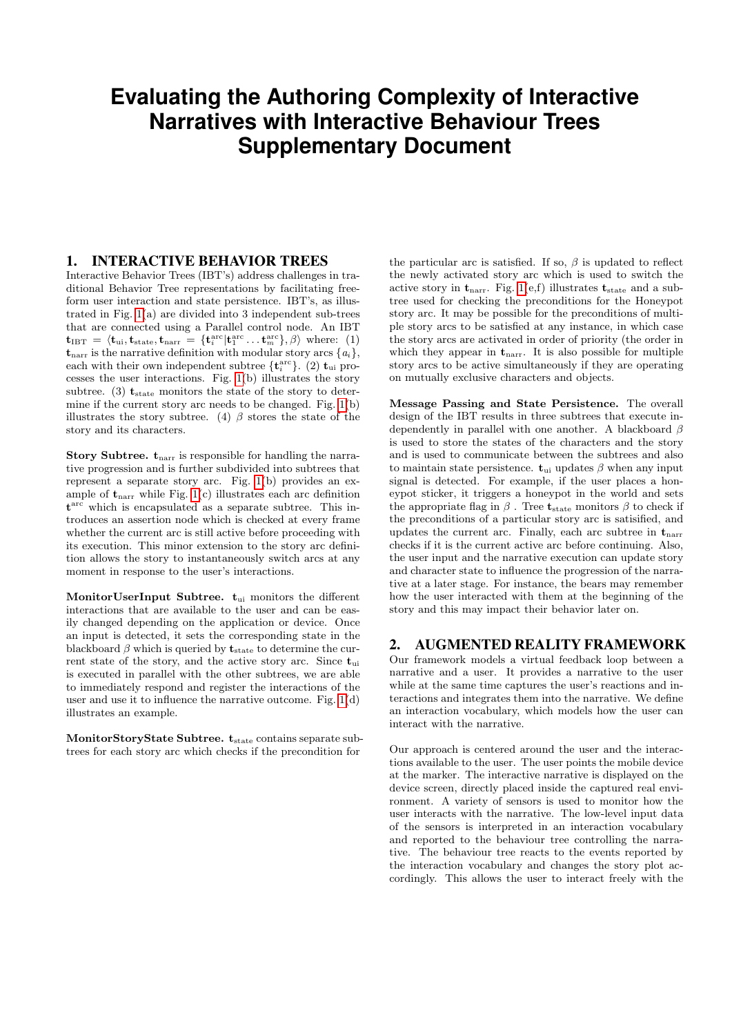# **Evaluating the Authoring Complexity of Interactive Narratives with Interactive Behaviour Trees Supplementary Document**

## 1. INTERACTIVE BEHAVIOR TREES

Interactive Behavior Trees (IBT's) address challenges in traditional Behavior Tree representations by facilitating freeform user interaction and state persistence. IBT's, as illustrated in Fig. [1\(](#page-1-0)a) are divided into 3 independent sub-trees that are connected using a Parallel control node. An IBT  $\mathbf{t}_{\text{IBT}} \,=\, \langle \mathbf{t}_{\text{ui}}, \mathbf{t}_{\text{state}}, \mathbf{t}_{\text{narr}} \,=\, \{\mathbf{t}_i^{\text{arc}} | \mathbf{t}_1^{\text{arc}} \dots \mathbf{t}_m^{\text{arc}}\}, \beta \rangle \, \text{ where:} \, \, \text{ (1)}$  $t_{\text{narr}}$  is the narrative definition with modular story arcs  $\{a_i\},$ each with their own independent subtree  $\{\mathbf t_i^{\text{arc}}\}$ . (2)  $\mathbf t_{\text{ui}}$  processes the user interactions. Fig. [1\(](#page-1-0)b) illustrates the story subtree. (3)  $t_{\text{state}}$  monitors the state of the story to determine if the current story arc needs to be changed. Fig. [1\(](#page-1-0)b) illustrates the story subtree. (4)  $\beta$  stores the state of the story and its characters.

**Story Subtree.**  $t_{\text{narr}}$  is responsible for handling the narrative progression and is further subdivided into subtrees that represent a separate story arc. Fig. [1\(](#page-1-0)b) provides an example of  $t_{\text{narr}}$  while Fig. [1\(](#page-1-0)c) illustrates each arc definition t arc which is encapsulated as a separate subtree. This introduces an assertion node which is checked at every frame whether the current arc is still active before proceeding with its execution. This minor extension to the story arc definition allows the story to instantaneously switch arcs at any moment in response to the user's interactions.

MonitorUserInput Subtree.  $t_{\text{ui}}$  monitors the different interactions that are available to the user and can be easily changed depending on the application or device. Once an input is detected, it sets the corresponding state in the blackboard  $\beta$  which is queried by  $t_{state}$  to determine the current state of the story, and the active story arc. Since  $t_{ui}$ is executed in parallel with the other subtrees, we are able to immediately respond and register the interactions of the user and use it to influence the narrative outcome. Fig. [1\(](#page-1-0)d) illustrates an example.

MonitorStoryState Subtree. t<sub>state</sub> contains separate subtrees for each story arc which checks if the precondition for

the particular arc is satisfied. If so,  $\beta$  is updated to reflect the newly activated story arc which is used to switch the active story in  $t_{\text{narr}}$ . Fig. [1\(](#page-1-0)e,f) illustrates  $t_{\text{state}}$  and a subtree used for checking the preconditions for the Honeypot story arc. It may be possible for the preconditions of multiple story arcs to be satisfied at any instance, in which case the story arcs are activated in order of priority (the order in which they appear in  $t_{\text{narr}}$ . It is also possible for multiple story arcs to be active simultaneously if they are operating on mutually exclusive characters and objects.

Message Passing and State Persistence. The overall design of the IBT results in three subtrees that execute independently in parallel with one another. A blackboard  $\beta$ is used to store the states of the characters and the story and is used to communicate between the subtrees and also to maintain state persistence.  $t_{ui}$  updates  $\beta$  when any input signal is detected. For example, if the user places a honeypot sticker, it triggers a honeypot in the world and sets the appropriate flag in  $\beta$ . Tree  $t_{\text{state}}$  monitors  $\beta$  to check if the preconditions of a particular story arc is satisified, and updates the current arc. Finally, each arc subtree in  $t_{\text{narr}}$ checks if it is the current active arc before continuing. Also, the user input and the narrative execution can update story and character state to influence the progression of the narrative at a later stage. For instance, the bears may remember how the user interacted with them at the beginning of the story and this may impact their behavior later on.

### 2. AUGMENTED REALITY FRAMEWORK

Our framework models a virtual feedback loop between a narrative and a user. It provides a narrative to the user while at the same time captures the user's reactions and interactions and integrates them into the narrative. We define an interaction vocabulary, which models how the user can interact with the narrative.

Our approach is centered around the user and the interactions available to the user. The user points the mobile device at the marker. The interactive narrative is displayed on the device screen, directly placed inside the captured real environment. A variety of sensors is used to monitor how the user interacts with the narrative. The low-level input data of the sensors is interpreted in an interaction vocabulary and reported to the behaviour tree controlling the narrative. The behaviour tree reacts to the events reported by the interaction vocabulary and changes the story plot accordingly. This allows the user to interact freely with the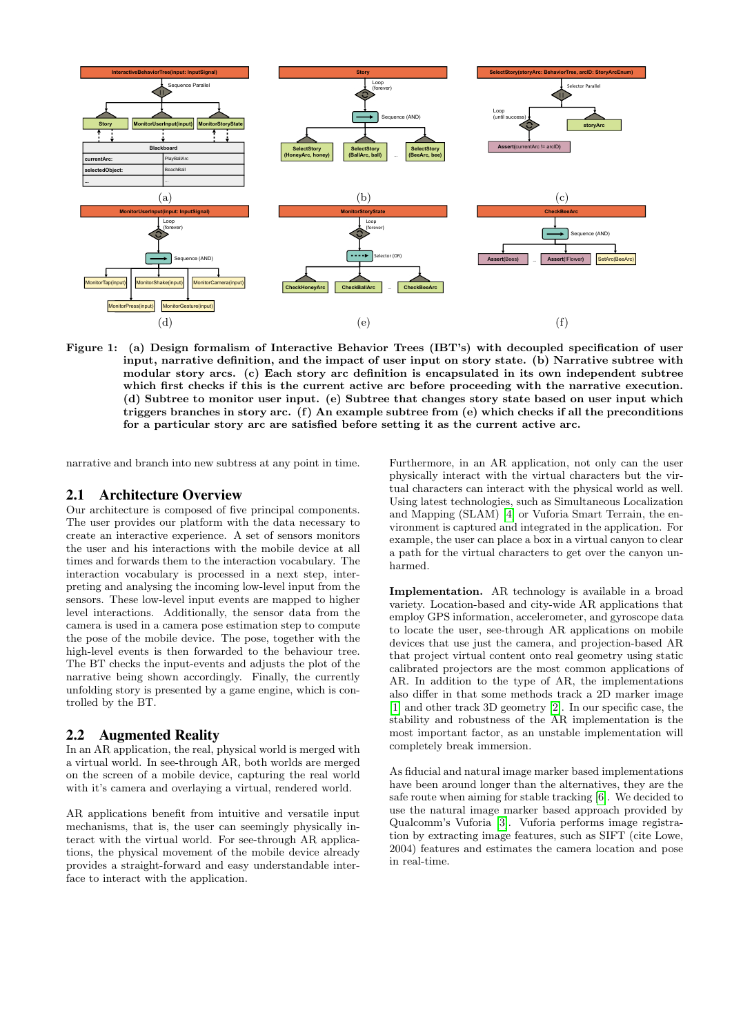<span id="page-1-0"></span>

Figure 1: (a) Design formalism of Interactive Behavior Trees (IBT's) with decoupled specification of user input, narrative definition, and the impact of user input on story state. (b) Narrative subtree with modular story arcs. (c) Each story arc definition is encapsulated in its own independent subtree which first checks if this is the current active arc before proceeding with the narrative execution. (d) Subtree to monitor user input. (e) Subtree that changes story state based on user input which triggers branches in story arc. (f) An example subtree from (e) which checks if all the preconditions for a particular story arc are satisfied before setting it as the current active arc.

narrative and branch into new subtress at any point in time.

#### 2.1 Architecture Overview

Our architecture is composed of five principal components. The user provides our platform with the data necessary to create an interactive experience. A set of sensors monitors the user and his interactions with the mobile device at all times and forwards them to the interaction vocabulary. The interaction vocabulary is processed in a next step, interpreting and analysing the incoming low-level input from the sensors. These low-level input events are mapped to higher level interactions. Additionally, the sensor data from the camera is used in a camera pose estimation step to compute the pose of the mobile device. The pose, together with the high-level events is then forwarded to the behaviour tree. The BT checks the input-events and adjusts the plot of the narrative being shown accordingly. Finally, the currently unfolding story is presented by a game engine, which is controlled by the BT.

#### 2.2 Augmented Reality

In an AR application, the real, physical world is merged with a virtual world. In see-through AR, both worlds are merged on the screen of a mobile device, capturing the real world with it's camera and overlaying a virtual, rendered world.

AR applications benefit from intuitive and versatile input mechanisms, that is, the user can seemingly physically interact with the virtual world. For see-through AR applications, the physical movement of the mobile device already provides a straight-forward and easy understandable interface to interact with the application.

Furthermore, in an AR application, not only can the user physically interact with the virtual characters but the virtual characters can interact with the physical world as well. Using latest technologies, such as Simultaneous Localization and Mapping (SLAM) [\[4\]](#page-3-0) or Vuforia Smart Terrain, the environment is captured and integrated in the application. For example, the user can place a box in a virtual canyon to clear a path for the virtual characters to get over the canyon unharmed.

Implementation. AR technology is available in a broad variety. Location-based and city-wide AR applications that employ GPS information, accelerometer, and gyroscope data to locate the user, see-through AR applications on mobile devices that use just the camera, and projection-based AR that project virtual content onto real geometry using static calibrated projectors are the most common applications of AR. In addition to the type of AR, the implementations also differ in that some methods track a 2D marker image [\[1\]](#page-3-1) and other track 3D geometry [\[2\]](#page-3-2). In our specific case, the stability and robustness of the AR implementation is the most important factor, as an unstable implementation will completely break immersion.

As fiducial and natural image marker based implementations have been around longer than the alternatives, they are the safe route when aiming for stable tracking [\[6\]](#page-3-3). We decided to use the natural image marker based approach provided by Qualcomm's Vuforia [\[3\]](#page-3-4). Vuforia performs image registration by extracting image features, such as SIFT (cite Lowe, 2004) features and estimates the camera location and pose in real-time.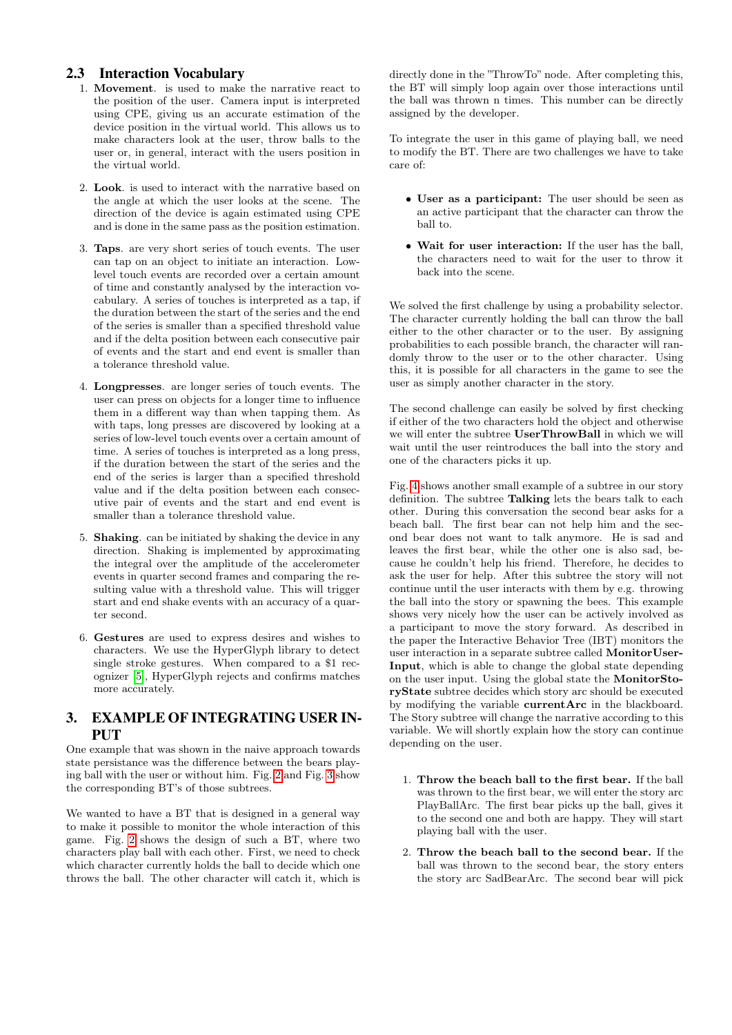## 2.3 Interaction Vocabulary

- 1. Movement. is used to make the narrative react to the position of the user. Camera input is interpreted using CPE, giving us an accurate estimation of the device position in the virtual world. This allows us to make characters look at the user, throw balls to the user or, in general, interact with the users position in the virtual world.
- 2. Look. is used to interact with the narrative based on the angle at which the user looks at the scene. The direction of the device is again estimated using CPE and is done in the same pass as the position estimation.
- 3. Taps. are very short series of touch events. The user can tap on an object to initiate an interaction. Lowlevel touch events are recorded over a certain amount of time and constantly analysed by the interaction vocabulary. A series of touches is interpreted as a tap, if the duration between the start of the series and the end of the series is smaller than a specified threshold value and if the delta position between each consecutive pair of events and the start and end event is smaller than a tolerance threshold value.
- 4. Longpresses. are longer series of touch events. The user can press on objects for a longer time to influence them in a different way than when tapping them. As with taps, long presses are discovered by looking at a series of low-level touch events over a certain amount of time. A series of touches is interpreted as a long press, if the duration between the start of the series and the end of the series is larger than a specified threshold value and if the delta position between each consecutive pair of events and the start and end event is smaller than a tolerance threshold value.
- 5. Shaking. can be initiated by shaking the device in any direction. Shaking is implemented by approximating the integral over the amplitude of the accelerometer events in quarter second frames and comparing the resulting value with a threshold value. This will trigger start and end shake events with an accuracy of a quarter second.
- 6. Gestures are used to express desires and wishes to characters. We use the HyperGlyph library to detect single stroke gestures. When compared to a \$1 recognizer [\[5\]](#page-3-5), HyperGlyph rejects and confirms matches more accurately.

## 3. EXAMPLE OF INTEGRATING USER IN-**PUT**

One example that was shown in the naive approach towards state persistance was the difference between the bears playing ball with the user or without him. Fig. [2](#page-3-6) and Fig. [3](#page-3-7) show the corresponding BT's of those subtrees.

We wanted to have a BT that is designed in a general way to make it possible to monitor the whole interaction of this game. Fig. [2](#page-3-6) shows the design of such a BT, where two characters play ball with each other. First, we need to check which character currently holds the ball to decide which one throws the ball. The other character will catch it, which is

directly done in the "ThrowTo" node. After completing this, the BT will simply loop again over those interactions until the ball was thrown n times. This number can be directly assigned by the developer.

To integrate the user in this game of playing ball, we need to modify the BT. There are two challenges we have to take care of:

- User as a participant: The user should be seen as an active participant that the character can throw the ball to.
- Wait for user interaction: If the user has the ball, the characters need to wait for the user to throw it back into the scene.

We solved the first challenge by using a probability selector. The character currently holding the ball can throw the ball either to the other character or to the user. By assigning probabilities to each possible branch, the character will randomly throw to the user or to the other character. Using this, it is possible for all characters in the game to see the user as simply another character in the story.

The second challenge can easily be solved by first checking if either of the two characters hold the object and otherwise we will enter the subtree UserThrowBall in which we will wait until the user reintroduces the ball into the story and one of the characters picks it up.

Fig. [4](#page-3-8) shows another small example of a subtree in our story definition. The subtree Talking lets the bears talk to each other. During this conversation the second bear asks for a beach ball. The first bear can not help him and the second bear does not want to talk anymore. He is sad and leaves the first bear, while the other one is also sad, because he couldn't help his friend. Therefore, he decides to ask the user for help. After this subtree the story will not continue until the user interacts with them by e.g. throwing the ball into the story or spawning the bees. This example shows very nicely how the user can be actively involved as a participant to move the story forward. As described in the paper the Interactive Behavior Tree (IBT) monitors the user interaction in a separate subtree called MonitorUser-Input, which is able to change the global state depending on the user input. Using the global state the MonitorStoryState subtree decides which story arc should be executed by modifying the variable currentArc in the blackboard. The Story subtree will change the narrative according to this variable. We will shortly explain how the story can continue depending on the user.

- 1. Throw the beach ball to the first bear. If the ball was thrown to the first bear, we will enter the story arc PlayBallArc. The first bear picks up the ball, gives it to the second one and both are happy. They will start playing ball with the user.
- 2. Throw the beach ball to the second bear. If the ball was thrown to the second bear, the story enters the story arc SadBearArc. The second bear will pick